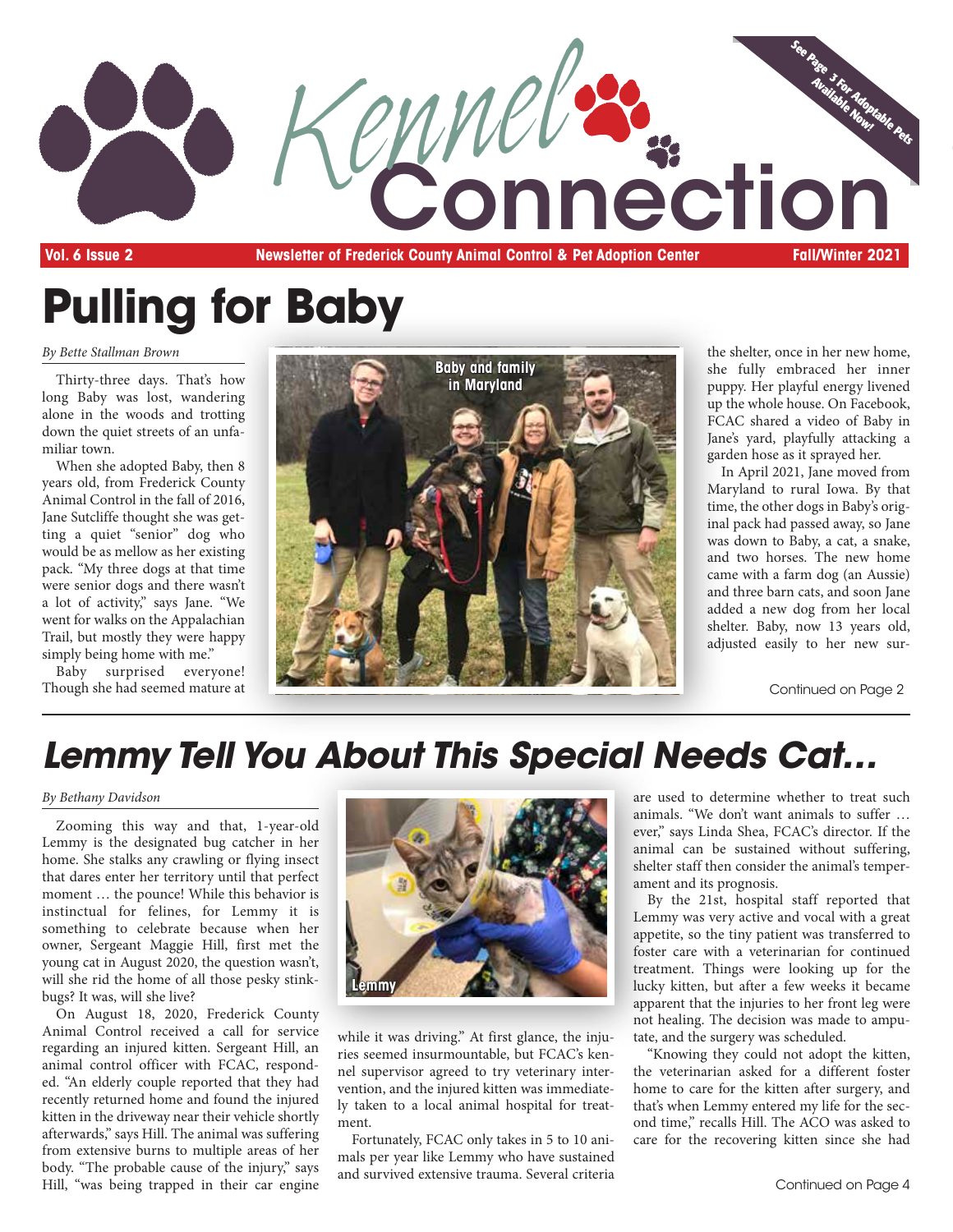

**Pulling for Baby**

*By Bette Stallman Brown*

Thirty-three days. That's how long Baby was lost, wandering alone in the woods and trotting down the quiet streets of an unfamiliar town.

When she adopted Baby, then 8 years old, from Frederick County Animal Control in the fall of 2016, Jane Sutcliffe thought she was getting a quiet "senior" dog who would be as mellow as her existing pack. "My three dogs at that time were senior dogs and there wasn't a lot of activity," says Jane. "We went for walks on the Appalachian Trail, but mostly they were happy simply being home with me."

Baby surprised everyone! Though she had seemed mature at



the shelter, once in her new home, she fully embraced her inner puppy. Her playful energy livened up the whole house. On Facebook, FCAC shared a video of Baby in Jane's yard, playfully attacking a garden hose as it sprayed her.

In April 2021, Jane moved from Maryland to rural Iowa. By that time, the other dogs in Baby's original pack had passed away, so Jane was down to Baby, a cat, a snake, and two horses. The new home came with a farm dog (an Aussie) and three barn cats, and soon Jane added a new dog from her local shelter. Baby, now 13 years old, adjusted easily to her new sur-

Continued on Page 2

## *Lemmy Tell You About This Special Needs Cat…*

#### *By Bethany Davidson*

Zooming this way and that, 1-year-old Lemmy is the designated bug catcher in her home. She stalks any crawling or flying insect that dares enter her territory until that perfect moment … the pounce! While this behavior is instinctual for felines, for Lemmy it is something to celebrate because when her owner, Sergeant Maggie Hill, first met the young cat in August 2020, the question wasn't, will she rid the home of all those pesky stinkbugs? It was, will she live?

On August 18, 2020, Frederick County Animal Control received a call for service regarding an injured kitten. Sergeant Hill, an animal control officer with FCAC, responded. "An elderly couple reported that they had recently returned home and found the injured kitten in the driveway near their vehicle shortly afterwards," says Hill. The animal was suffering from extensive burns to multiple areas of her body. "The probable cause of the injury," says Hill, "was being trapped in their car engine



while it was driving." At first glance, the injuries seemed insurmountable, but FCAC's kennel supervisor agreed to try veterinary intervention, and the injured kitten was immediately taken to a local animal hospital for treatment.

Fortunately, FCAC only takes in 5 to 10 animals per year like Lemmy who have sustained and survived extensive trauma. Several criteria are used to determine whether to treat such animals. "We don't want animals to suffer … ever," says Linda Shea, FCAC's director. If the animal can be sustained without suffering, shelter staff then consider the animal's temperament and its prognosis.

By the 21st, hospital staff reported that Lemmy was very active and vocal with a great appetite, so the tiny patient was transferred to foster care with a veterinarian for continued treatment. Things were looking up for the lucky kitten, but after a few weeks it became apparent that the injuries to her front leg were not healing. The decision was made to amputate, and the surgery was scheduled.

"Knowing they could not adopt the kitten, the veterinarian asked for a different foster home to care for the kitten after surgery, and that's when Lemmy entered my life for the second time," recalls Hill. The ACO was asked to care for the recovering kitten since she had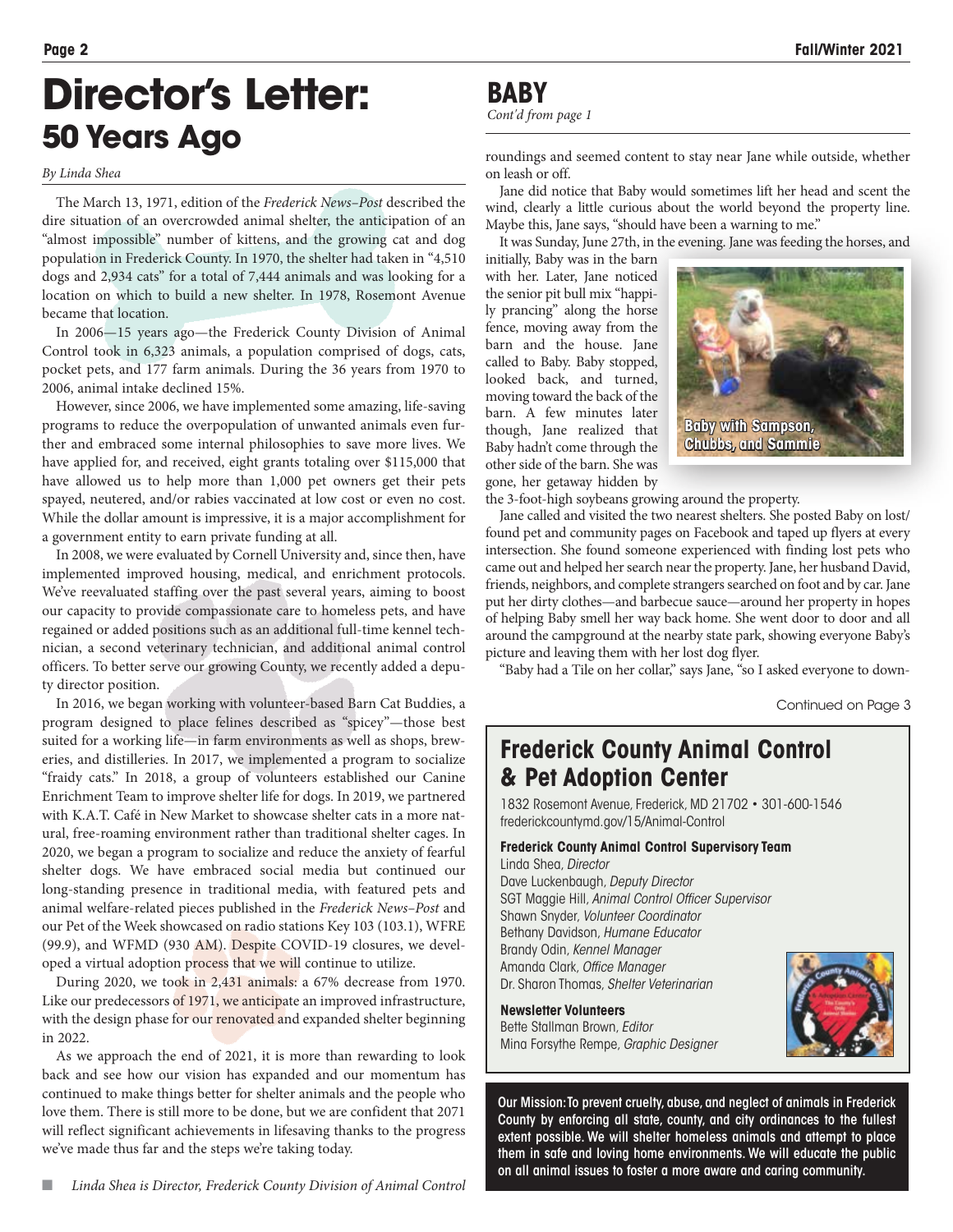## **Director's Letter: 50 Years Ago**

#### *By Linda Shea*

The March 13, 1971, edition of the *Frederick News–Post* described the dire situation of an overcrowded animal shelter, the anticipation of an "almost impossible" number of kittens, and the growing cat and dog population in Frederick County. In 1970, the shelter had taken in "4,510 dogs and 2,934 cats" for a total of 7,444 animals and was looking for a location on which to build a new shelter. In 1978, Rosemont Avenue became that location.

In 2006—15 years ago—the Frederick County Division of Animal Control took in 6,323 animals, a population comprised of dogs, cats, pocket pets, and 177 farm animals. During the 36 years from 1970 to 2006, animal intake declined 15%.

However, since 2006, we have implemented some amazing, life-saving programs to reduce the overpopulation of unwanted animals even further and embraced some internal philosophies to save more lives. We have applied for, and received, eight grants totaling over \$115,000 that have allowed us to help more than 1,000 pet owners get their pets spayed, neutered, and/or rabies vaccinated at low cost or even no cost. While the dollar amount is impressive, it is a major accomplishment for a government entity to earn private funding at all.

In 2008, we were evaluated by Cornell University and, since then, have implemented improved housing, medical, and enrichment protocols. We've reevaluated staffing over the past several years, aiming to boost our capacity to provide compassionate care to homeless pets, and have regained or added positions such as an additional full-time kennel technician, a second veterinary technician, and additional animal control officers. To better serve our growing County, we recently added a deputy director position.

In 2016, we began working with volunteer-based Barn Cat Buddies, a program designed to place felines described as "spicey"—those best suited for a working life—in farm environments as well as shops, breweries, and distilleries. In 2017, we implemented a program to socialize "fraidy cats." In 2018, a group of volunteers established our Canine Enrichment Team to improve shelter life for dogs. In 2019, we partnered with K.A.T. Café in New Market to showcase shelter cats in a more natural, free-roaming environment rather than traditional shelter cages. In 2020, we began a program to socialize and reduce the anxiety of fearful shelter dogs. We have embraced social media but continued our long-standing presence in traditional media, with featured pets and animal welfare-related pieces published in the *Frederick News–Post* and our Pet of the Week showcased on radio stations Key 103 (103.1), WFRE (99.9), and WFMD (930 AM). Despite COVID-19 closures, we developed a virtual adoption process that we will continue to utilize.

During 2020, we took in 2,431 animals: a 67% decrease from 1970. Like our predecessors of 1971, we anticipate an improved infrastructure, with the design phase for our renovated and expanded shelter beginning in 2022.

As we approach the end of 2021, it is more than rewarding to look back and see how our vision has expanded and our momentum has continued to make things better for shelter animals and the people who love them. There is still more to be done, but we are confident that 2071 will reflect significant achievements in lifesaving thanks to the progress we've made thus far and the steps we're taking today.

*Cont'd from page 1*

roundings and seemed content to stay near Jane while outside, whether on leash or off.

Jane did notice that Baby would sometimes lift her head and scent the wind, clearly a little curious about the world beyond the property line. Maybe this, Jane says, "should have been a warning to me."

It was Sunday, June 27th, in the evening. Jane was feeding the horses, and

initially, Baby was in the barn with her. Later, Jane noticed the senior pit bull mix "happily prancing" along the horse fence, moving away from the barn and the house. Jane called to Baby. Baby stopped, looked back, and turned, moving toward the back of the barn. A few minutes later though, Jane realized that Baby hadn't come through the other side of the barn. She was gone, her getaway hidden by



the 3-foot-high soybeans growing around the property.

Jane called and visited the two nearest shelters. She posted Baby on lost/ found pet and community pages on Facebook and taped up flyers at every intersection. She found someone experienced with finding lost pets who came out and helped her search near the property. Jane, her husband David, friends, neighbors, and complete strangers searched on foot and by car. Jane put her dirty clothes—and barbecue sauce—around her property in hopes of helping Baby smell her way back home. She went door to door and all around the campground at the nearby state park, showing everyone Baby's picture and leaving them with her lost dog flyer.

"Baby had a Tile on her collar," says Jane, "so I asked everyone to down-

Continued on Page 3

### **Frederick County Animal Control & Pet Adoption Center**

1832 Rosemont Avenue, Frederick, MD 21702 • 301-600-1546 frederickcountymd.gov/15/Animal-Control

#### **Frederick County Animal Control Supervisory Team** Linda Shea, *Director*

Dave Luckenbaugh, *Deputy Director* SGT Maggie Hill, *Animal Control Officer Supervisor* Shawn Snyder, *Volunteer Coordinator* Bethany Davidson, *Humane Educator* Brandy Odin, *Kennel Manager* Amanda Clark, *Office Manager* Dr. Sharon Thomas, *Shelter Veterinarian*

**Newsletter Volunteers** Bette Stallman Brown, *Editor* Mina Forsythe Rempe, *Graphic Designer*

Our Mission: To prevent cruelty, abuse, and neglect of animals in Frederick County by enforcing all state, county, and city ordinances to the fullest extent possible. We will shelter homeless animals and attempt to place them in safe and loving home environments. We will educate the public on all animal issues to foster a more aware and caring community.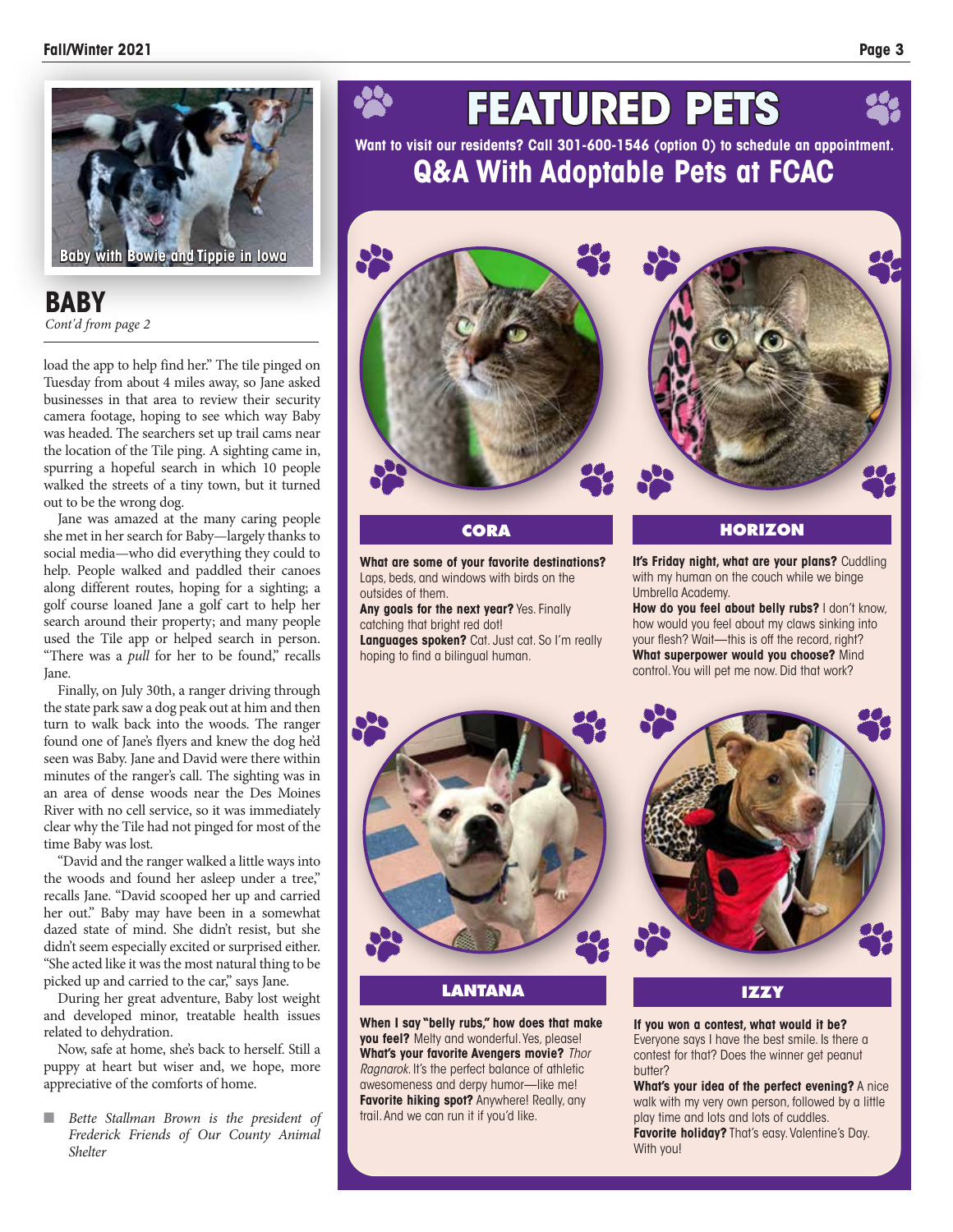

**BABY** *Cont'd from page 2*

load the app to help find her." The tile pinged on Tuesday from about 4 miles away, so Jane asked businesses in that area to review their security camera footage, hoping to see which way Baby was headed. The searchers set up trail cams near the location of the Tile ping. A sighting came in, spurring a hopeful search in which 10 people walked the streets of a tiny town, but it turned out to be the wrong dog.

Jane was amazed at the many caring people she met in her search for Baby—largely thanks to social media—who did everything they could to help. People walked and paddled their canoes along different routes, hoping for a sighting; a golf course loaned Jane a golf cart to help her search around their property; and many people used the Tile app or helped search in person. "There was a *pull* for her to be found," recalls Jane.

Finally, on July 30th, a ranger driving through the state park saw a dog peak out at him and then turn to walk back into the woods. The ranger found one of Jane's flyers and knew the dog he'd seen was Baby. Jane and David were there within minutes of the ranger's call. The sighting was in an area of dense woods near the Des Moines River with no cell service, so it was immediately clear why the Tile had not pinged for most of the time Baby was lost.

"David and the ranger walked a little ways into the woods and found her asleep under a tree," recalls Jane. "David scooped her up and carried her out." Baby may have been in a somewhat dazed state of mind. She didn't resist, but she didn't seem especially excited or surprised either. "She acted like it was the most natural thing to be picked up and carried to the car," says Jane.

During her great adventure, Baby lost weight and developed minor, treatable health issues related to dehydration.

Now, safe at home, she's back to herself. Still a puppy at heart but wiser and, we hope, more appreciative of the comforts of home.

**n** *Bette Stallman Brown is the president of Frederick Friends of Our County Animal Shelter*

## **FEATURED PETS**

**Want to visit our residents? Call 301-600-1546 (option 0) to schedule an appointment. Q&A With Adoptable Pets at FCAC**



**CORA**

**What are some of your favorite destinations?** Laps, beds, and windows with birds on the outsides of them.

**Any goals for the next year?** Yes. Finally catching that bright red dot!

**Languages spoken?** Cat. Just cat. So I'm really hoping to find a bilingual human.



#### **HORIZON**

**It's Friday night, what are your plans?** Cuddling with my human on the couch while we binge Umbrella Academy.

How do you feel about belly rubs? I don't know, how would you feel about my claws sinking into your flesh? Wait—this is off the record, right? **What superpower would you choose?** Mind control. You will pet me now. Did that work?





#### **LANTANA**

**When I say "belly rubs," how does that make you feel?** Melty and wonderful. Yes, please! **What's your favorite Avengers movie?** *Thor Ragnarok.* It's the perfect balance of athletic awesomeness and derpy humor—like me! **Favorite hiking spot?** Anywhere! Really, any trail. And we can run it if you'd like.

#### **IZZY**

**If you won a contest, what would it be?**  Everyone says I have the best smile. Is there a contest for that? Does the winner get peanut butter?

**What's your idea of the perfect evening?** A nice walk with my very own person, followed by a little play time and lots and lots of cuddles. **Favorite holiday?** That's easy. Valentine's Day. With you!